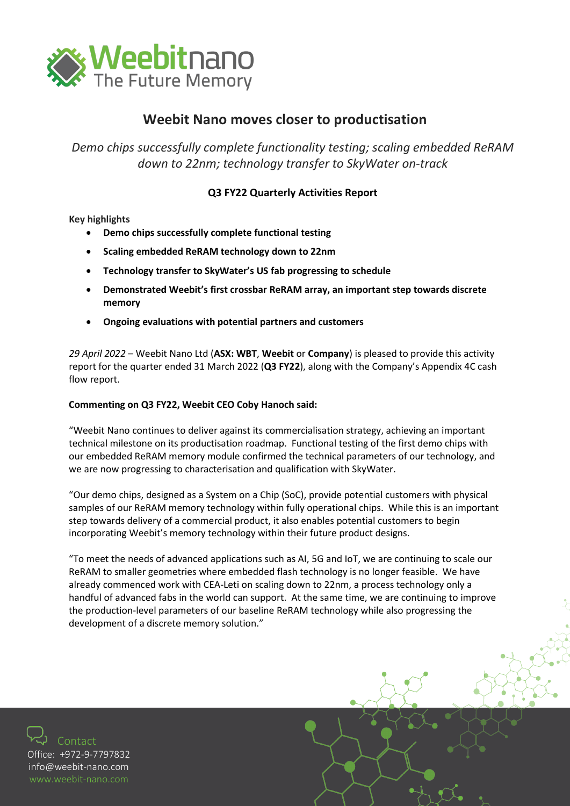

## **Weebit Nano moves closer to productisation**

*Demo chips successfully complete functionality testing; scaling embedded ReRAM down to 22nm; technology transfer to SkyWater on-track*

## **Q3 FY22 Quarterly Activities Report**

#### **Key highlights**

- **Demo chips successfully complete functional testing**
- **Scaling embedded ReRAM technology down to 22nm**
- **Technology transfer to SkyWater's US fab progressing to schedule**
- **Demonstrated Weebit's first crossbar ReRAM array, an important step towards discrete memory**
- **Ongoing evaluations with potential partners and customers**

*29 April 2022* – [Weebit Nano Ltd](http://www.weebit-nano.com/) (**ASX: WBT**, **Weebit** or **Company**) is pleased to provide this activity report for the quarter ended 31 March 2022 (**Q3 FY22**), along with the Company's Appendix 4C cash flow report.

### **Commenting on Q3 FY22, Weebit CEO Coby Hanoch said:**

"Weebit Nano continues to deliver against its commercialisation strategy, achieving an important technical milestone on its productisation roadmap. Functional testing of the first demo chips with our embedded ReRAM memory module confirmed the technical parameters of our technology, and we are now progressing to characterisation and qualification with SkyWater.

"Our demo chips, designed as a System on a Chip (SoC), provide potential customers with physical samples of our ReRAM memory technology within fully operational chips. While this is an important step towards delivery of a commercial product, it also enables potential customers to begin incorporating Weebit's memory technology within their future product designs.

"To meet the needs of advanced applications such as AI, 5G and IoT, we are continuing to scale our ReRAM to smaller geometries where embedded flash technology is no longer feasible. We have already commenced work with CEA-Leti on scaling down to 22nm, a process technology only a handful of advanced fabs in the world can support. At the same time, we are continuing to improve the production-level parameters of our baseline ReRAM technology while also progressing the development of a discrete memory solution."

Contact Office: +972-9-7797832 [info@weebit](mailto:info@weebit-nano.com)-nano.com [www.weebit](http://www.weebit-nano.com/)-nano.com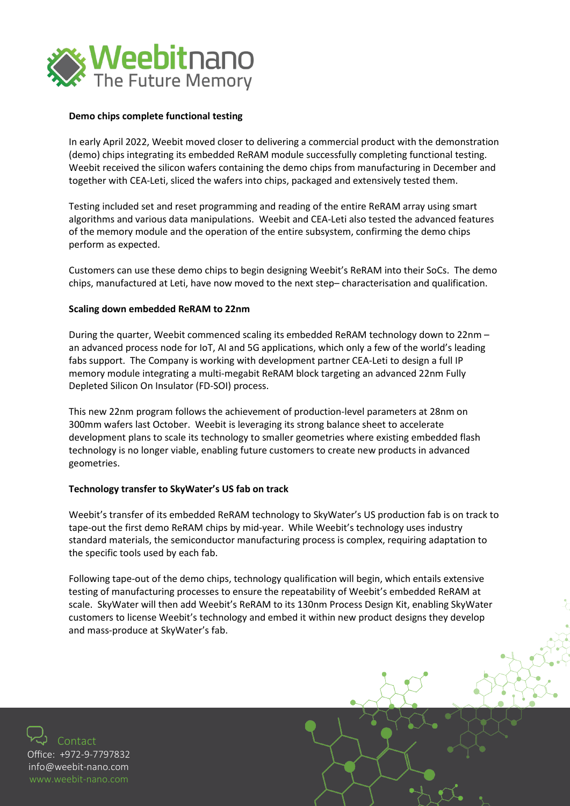

#### **Demo chips complete functional testing**

In early April 2022, Weebit moved closer to delivering a commercial product with the demonstration (demo) chips integrating its embedded ReRAM module successfully completing functional testing. Weebit received the silicon wafers containing the demo chips from manufacturing in December and together with CEA-Leti, sliced the wafers into chips, packaged and extensively tested them.

Testing included set and reset programming and reading of the entire ReRAM array using smart algorithms and various data manipulations. Weebit and CEA-Leti also tested the advanced features of the memory module and the operation of the entire subsystem, confirming the demo chips perform as expected.

Customers can use these demo chips to begin designing Weebit's ReRAM into their SoCs. The demo chips, manufactured at Leti, have now moved to the next step– characterisation and qualification.

#### **Scaling down embedded ReRAM to 22nm**

During the quarter, Weebit commenced scaling its embedded ReRAM technology down to 22nm – an advanced process node for IoT, AI and 5G applications, which only a few of the world's leading fabs support. The Company is working with development partner CEA-Leti to design a full IP memory module integrating a multi-megabit ReRAM block targeting an advanced 22nm Fully Depleted Silicon On Insulator (FD-SOI) process.

This new 22nm program follows the achievement of production-level parameters at 28nm on 300mm wafers last October. Weebit is leveraging its strong balance sheet to accelerate development plans to scale its technology to smaller geometries where existing embedded flash technology is no longer viable, enabling future customers to create new products in advanced geometries.

#### **Technology transfer to SkyWater's US fab on track**

Weebit's transfer of its embedded ReRAM technology to SkyWater's US production fab is on track to tape-out the first demo ReRAM chips by mid-year. While Weebit's technology uses industry standard materials, the semiconductor manufacturing process is complex, requiring adaptation to the specific tools used by each fab.

Following tape-out of the demo chips, technology qualification will begin, which entails extensive testing of manufacturing processes to ensure the repeatability of Weebit's embedded ReRAM at scale. SkyWater will then add Weebit's ReRAM to its 130nm Process Design Kit, enabling SkyWater customers to license Weebit's technology and embed it within new product designs they develop and mass-produce at SkyWater's fab.

Contact Office: +972-9-7797832 [info@weebit](mailto:info@weebit-nano.com)-nano.com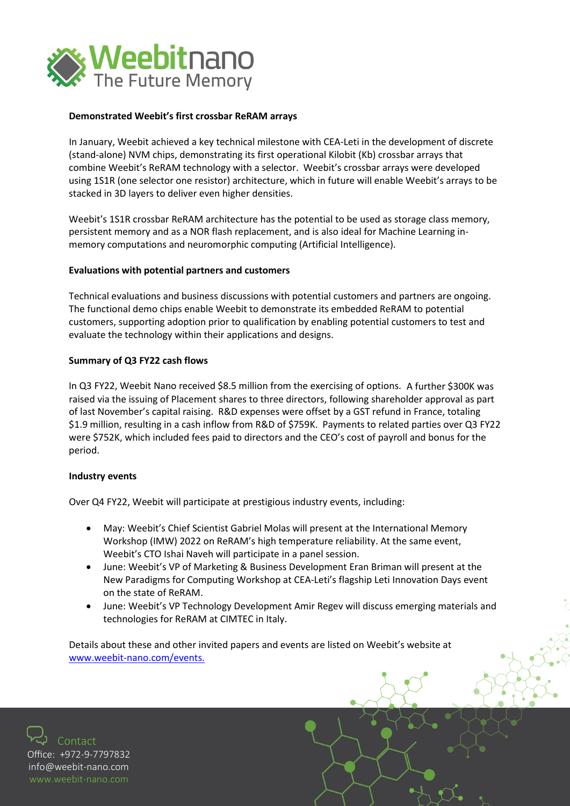

#### **Demonstrated Weebit's first crossbar ReRAM arrays**

In January, Weebit achieved a key technical milestone with CEA-Leti in the development of discrete (stand-alone) NVM chips, demonstrating its first operational Kilobit (Kb) crossbar arrays that combine Weebit's ReRAM technology with a selector. Weebit's crossbar arrays were developed using 1S1R (one selector one resistor) architecture, which in future will enable Weebit's arrays to be stacked in 3D layers to deliver even higher densities.

Weebit's 1S1R crossbar ReRAM architecture has the potential to be used as storage class memory, persistent memory and as a NOR flash replacement, and is also ideal for Machine Learning inmemory computations and neuromorphic computing (Artificial Intelligence).

#### **Evaluations with potential partners and customers**

Technical evaluations and business discussions with potential customers and partners are ongoing. The functional demo chips enable Weebit to demonstrate its embedded ReRAM to potential customers, supporting adoption prior to qualification by enabling potential customers to test and evaluate the technology within their applications and designs.

#### **Summary of Q3 FY22 cash flows**

In Q3 FY22, Weebit Nano received \$8.5 million from the exercising of options. A further \$300K was raised via the issuing of Placement shares to three directors, following shareholder approval as part of last November's capital raising. R&D expenses were offset by a GST refund in France, totaling \$1.9 million, resulting in a cash inflow from R&D of \$759K. Payments to related parties over Q3 FY22 were \$752K, which included fees paid to directors and the CEO's cost of payroll and bonus for the period.

#### **Industry events**

Over Q4 FY22, Weebit will participate at prestigious industry events, including:

- May: Weebit's Chief Scientist Gabriel Molas will present at the International Memory Workshop (IMW) 2022 on ReRAM's high temperature reliability. At the same event, Weebit's CTO Ishai Naveh will participate in a panel session.
- June: Weebit's VP of Marketing & Business Development Eran Briman will present at the New Paradigms for Computing Workshop at CEA-Leti's flagship Leti Innovation Days event on the state of ReRAM.
- June: Weebit's VP Technology Development Amir Regev will discuss emerging materials and technologies for ReRAM at CIMTEC in Italy.

Details about these and other invited papers and events are listed on Weebit's website at [www.weebit-nano.com/events.](https://eur05.safelinks.protection.outlook.com/?url=https%3A%2F%2Favanan.url-protection.com%2Fv1%2Furl%3Fo%3Dhttps%253A%2F%2Fwww.weebit-nano.com%2Fevents%26g%3DY2NhM2NlZDBjMGNjZDQzZA%3D%3D%26h%3DMTA2OGEzYzA0MzQwNWFiYjdiNmMyYTYxYzlmMzRkNGJlNzYyMzUzYjQyYmVkZDU1NWQyZmVlMDdiNWY4ZDAwMA%3D%3D%26p%3DYXAxZTp3ZWViaXQtbmFubzphOm86YzZhYWEyMTk0MWUyN2RkNzJlYzcwMWE3NDkwNzJiMTE6djE6aDpO&data=04%7C01%7Ceran%40weebit-nano.com%7C159d844f114e45e34b7908da1c9fc1ad%7C1dba2622540a4236befc22c3e3a56003%7C0%7C0%7C637853769720487839%7CUnknown%7CTWFpbGZsb3d8eyJWIjoiMC4wLjAwMDAiLCJQIjoiV2luMzIiLCJBTiI6Ik1haWwiLCJXVCI6Mn0%3D%7C3000&sdata=oJ3qZumIRA74WHzZrZaYVvCt2wz5LGcMmDBaBFdeejs%3D&reserved=0)

Contact Office: +972-9-7797832 [info@weebit](mailto:info@weebit-nano.com)-nano.com [www.weebit](http://www.weebit-nano.com/)-nano.com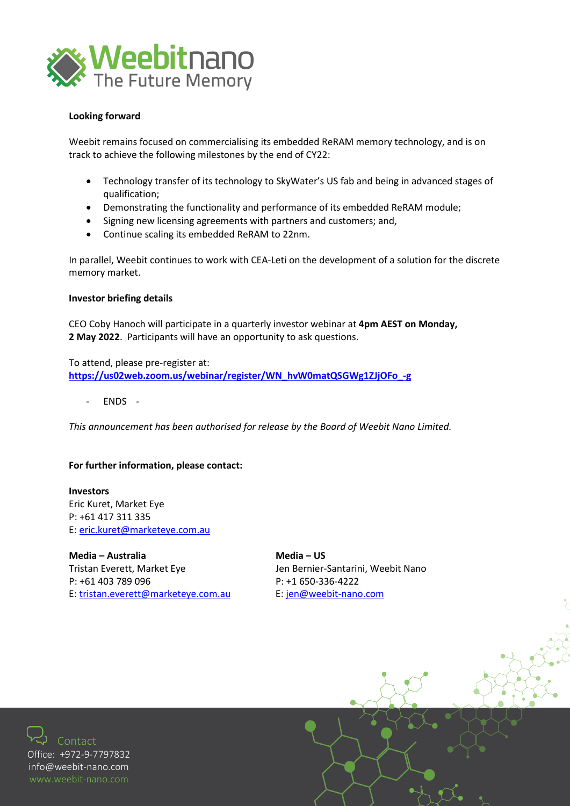

#### **Looking forward**

Weebit remains focused on commercialising its embedded ReRAM memory technology, and is on track to achieve the following milestones by the end of CY22:

- Technology transfer of its technology to SkyWater's US fab and being in advanced stages of qualification;
- Demonstrating the functionality and performance of its embedded ReRAM module;
- Signing new licensing agreements with partners and customers; and,
- Continue scaling its embedded ReRAM to 22nm.

In parallel, Weebit continues to work with CEA-Leti on the development of a solution for the discrete memory market.

#### **Investor briefing details**

CEO Coby Hanoch will participate in a quarterly investor webinar at **4pm AEST on Monday, 2 May 2022**. Participants will have an opportunity to ask questions.

To attend, please pre-register at: **[https://us02web.zoom.us/webinar/register/WN\\_hvW0matQSGWg1ZJjOFo\\_-g](https://us02web.zoom.us/webinar/register/WN_hvW0matQSGWg1ZJjOFo_-g)**

- ENDS -

*This announcement has been authorised for release by the Board of Weebit Nano Limited.* 

#### **For further information, please contact:**

**Investors** Eric Kuret, Market Eye P: +61 417 311 335 E: [eric.kuret@marketeye.com.au](mailto:eric.kuret@marketeye.com.au) 

Media – Australia **Media – US** Tristan Everett, Market Eye **Jen Bernier-Santarini, Weebit Nano** P: +61 403 789 096 P: +1 650-336-4222 E: [tristan.everett@marketeye.com.au](mailto:tristan.everett@marketeye.com.au) E: [jen@weebit-nano.com](mailto:jen@weebit-nano.com) 

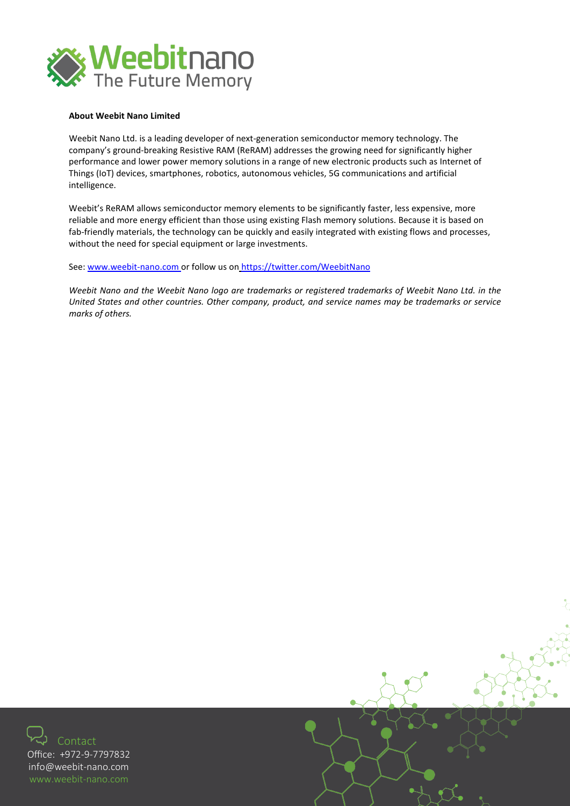

#### **About Weebit Nano Limited**

Weebit Nano Ltd. is a leading developer of next-generation semiconductor memory technology. The company's ground-breaking Resistive RAM (ReRAM) addresses the growing need for significantly higher performance and lower power memory solutions in a range of new electronic products such as Internet of Things (IoT) devices, smartphones, robotics, autonomous vehicles, 5G communications and artificial intelligence.

Weebit's ReRAM allows semiconductor memory elements to be significantly faster, less expensive, more reliable and more energy efficient than those using existing Flash memory solutions. Because it is based on fab-friendly materials, the technology can be quickly and easily integrated with existing flows and processes, without the need for special equipment or large investments.

See: [www.weebit-nano.com](http://www.weebit-nano.com/) or follow us on <https://twitter.com/WeebitNano>

*Weebit Nano and the Weebit Nano logo are trademarks or registered trademarks of Weebit Nano Ltd. in the United States and other countries. Other company, product, and service names may be trademarks or service marks of others.*



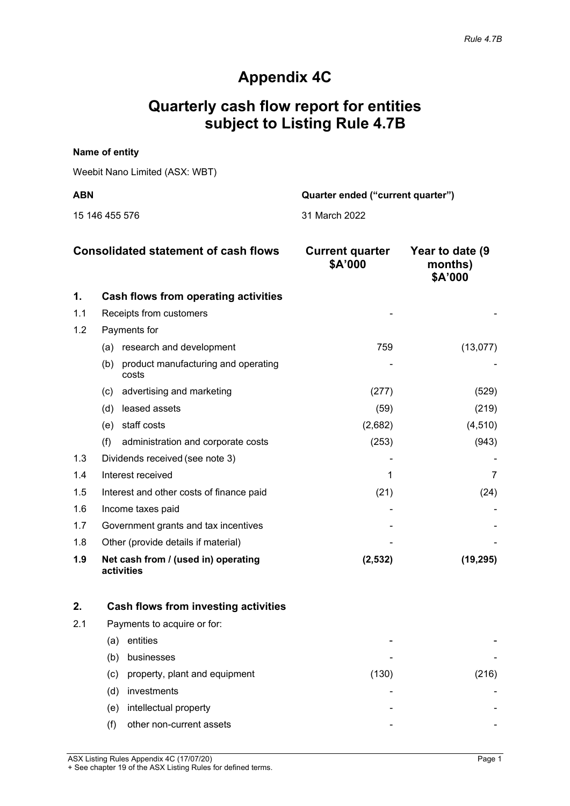# **Appendix 4C**

# **Quarterly cash flow report for entities subject to Listing Rule 4.7B**

## **Name of entity**

Weebit Nano Limited (ASX: WBT)

15 146 455 576 31 March 2022

**ABN Quarter ended ("current quarter")**

|     | <b>Consolidated statement of cash flows</b>         | <b>Current quarter</b><br>\$A'000 | Year to date (9<br>months)<br>\$A'000 |
|-----|-----------------------------------------------------|-----------------------------------|---------------------------------------|
| 1.  | Cash flows from operating activities                |                                   |                                       |
| 1.1 | Receipts from customers                             |                                   |                                       |
| 1.2 | Payments for                                        |                                   |                                       |
|     | (a) research and development                        | 759                               | (13, 077)                             |
|     | product manufacturing and operating<br>(b)<br>costs |                                   |                                       |
|     | advertising and marketing<br>(c)                    | (277)                             | (529)                                 |
|     | leased assets<br>(d)                                | (59)                              | (219)                                 |
|     | staff costs<br>(e)                                  | (2,682)                           | (4, 510)                              |
|     | (f)<br>administration and corporate costs           | (253)                             | (943)                                 |
| 1.3 | Dividends received (see note 3)                     |                                   |                                       |
| 1.4 | Interest received                                   |                                   |                                       |
| 1.5 | Interest and other costs of finance paid            | (21)                              | (24)                                  |
| 1.6 | Income taxes paid                                   |                                   |                                       |
| 1.7 | Government grants and tax incentives                |                                   |                                       |
| 1.8 | Other (provide details if material)                 |                                   |                                       |
| 1.9 | Net cash from / (used in) operating<br>activities   | (2,532)                           | (19, 295)                             |

|     | Cash flows from investing activities |       |      |
|-----|--------------------------------------|-------|------|
| 2.1 | Payments to acquire or for:          |       |      |
|     | entities<br>(a)                      |       |      |
|     | businesses<br>(b)                    |       |      |
|     | property, plant and equipment<br>(c) | (130) | 216) |
|     | investments<br>(d)                   |       |      |
|     | intellectual property<br>(e)         |       |      |
|     | other non-current assets             |       |      |

ASX Listing Rules Appendix 4C (17/07/20) Page 1 + See chapter 19 of the ASX Listing Rules for defined terms.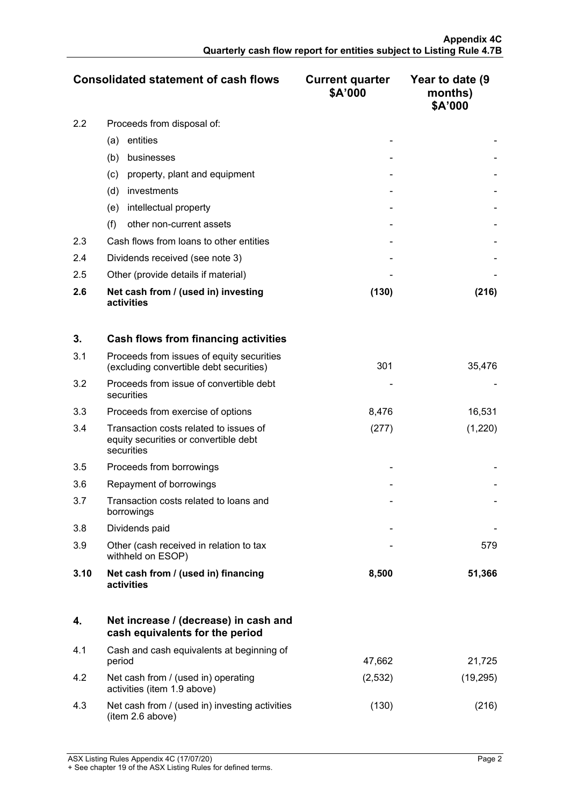|               | <b>Consolidated statement of cash flows</b>       | <b>Current quarter</b><br>\$A'000 | Year to date (9<br>months)<br>\$A'000 |
|---------------|---------------------------------------------------|-----------------------------------|---------------------------------------|
| $2.2^{\circ}$ | Proceeds from disposal of:                        |                                   |                                       |
|               | entities<br>(a)                                   |                                   |                                       |
|               | businesses<br>(b)                                 |                                   |                                       |
|               | property, plant and equipment<br>(c)              |                                   |                                       |
|               | (d)<br>investments                                |                                   |                                       |
|               | intellectual property<br>(e)                      |                                   |                                       |
|               | (f)<br>other non-current assets                   |                                   |                                       |
| 2.3           | Cash flows from loans to other entities           |                                   |                                       |
| 2.4           | Dividends received (see note 3)                   |                                   |                                       |
| 2.5           | Other (provide details if material)               |                                   |                                       |
| 2.6           | Net cash from / (used in) investing<br>activities | (130)                             | (216)                                 |

| 3.   | Cash flows from financing activities                                                          |       |         |
|------|-----------------------------------------------------------------------------------------------|-------|---------|
| 3.1  | Proceeds from issues of equity securities<br>(excluding convertible debt securities)          | 301   | 35,476  |
| 3.2  | Proceeds from issue of convertible debt<br>securities                                         |       |         |
| 3.3  | Proceeds from exercise of options                                                             | 8,476 | 16,531  |
| 3.4  | Transaction costs related to issues of<br>equity securities or convertible debt<br>securities | (277) | (1,220) |
| 3.5  | Proceeds from borrowings                                                                      |       |         |
| 3.6  | Repayment of borrowings                                                                       |       |         |
| 3.7  | Transaction costs related to loans and<br>borrowings                                          |       |         |
| 3.8  | Dividends paid                                                                                |       |         |
| 3.9  | Other (cash received in relation to tax<br>withheld on ESOP)                                  |       | 579     |
| 3.10 | Net cash from / (used in) financing<br>activities                                             | 8,500 | 51,366  |

|     | Net increase / (decrease) in cash and<br>cash equivalents for the period |         |           |
|-----|--------------------------------------------------------------------------|---------|-----------|
| 4.1 | Cash and cash equivalents at beginning of<br>period                      | 47,662  | 21,725    |
| 4.2 | Net cash from / (used in) operating<br>activities (item 1.9 above)       | (2,532) | (19, 295) |
| 4.3 | Net cash from / (used in) investing activities<br>(item 2.6 above)       | (130)   | (216)     |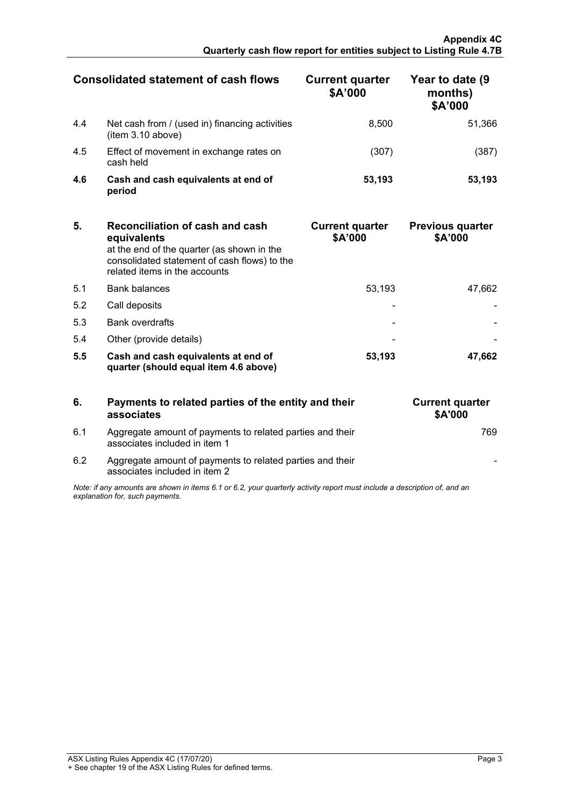|     | <b>Consolidated statement of cash flows</b>                         | <b>Current quarter</b><br>\$A'000 | Year to date (9<br>months)<br>\$A'000 |
|-----|---------------------------------------------------------------------|-----------------------------------|---------------------------------------|
| 4.4 | Net cash from / (used in) financing activities<br>(item 3.10 above) | 8.500                             | 51.366                                |
| 4.5 | Effect of movement in exchange rates on<br>cash held                | (307)                             | 387                                   |
| 4.6 | Cash and cash equivalents at end of<br>period                       | 53,193                            | 53.193                                |

| 5.  | Reconciliation of cash and cash<br>equivalents<br>at the end of the quarter (as shown in the<br>consolidated statement of cash flows) to the<br>related items in the accounts | <b>Current quarter</b><br>\$A'000 | <b>Previous quarter</b><br>\$A'000 |
|-----|-------------------------------------------------------------------------------------------------------------------------------------------------------------------------------|-----------------------------------|------------------------------------|
| 5.1 | <b>Bank balances</b>                                                                                                                                                          | 53.193                            | 47.662                             |
| 5.2 | Call deposits                                                                                                                                                                 |                                   |                                    |
| 5.3 | <b>Bank overdrafts</b>                                                                                                                                                        |                                   |                                    |
| 5.4 | Other (provide details)                                                                                                                                                       |                                   |                                    |
| 5.5 | Cash and cash equivalents at end of<br>quarter (should equal item 4.6 above)                                                                                                  | 53.193                            | 47.662                             |

|                                                                                                                                                             | Payments to related parties of the entity and their<br>associates                          | <b>Current quarter</b><br><b>\$A'000</b> |
|-------------------------------------------------------------------------------------------------------------------------------------------------------------|--------------------------------------------------------------------------------------------|------------------------------------------|
| 6.1                                                                                                                                                         | Aggregate amount of payments to related parties and their<br>associates included in item 1 |                                          |
| 6.2                                                                                                                                                         | Aggregate amount of payments to related parties and their<br>associates included in item 2 |                                          |
| Note: if any amounts are shown in items 6.1 or 6.2, your quarterly activity report must include a description of, and an<br>explanation for, such payments. |                                                                                            |                                          |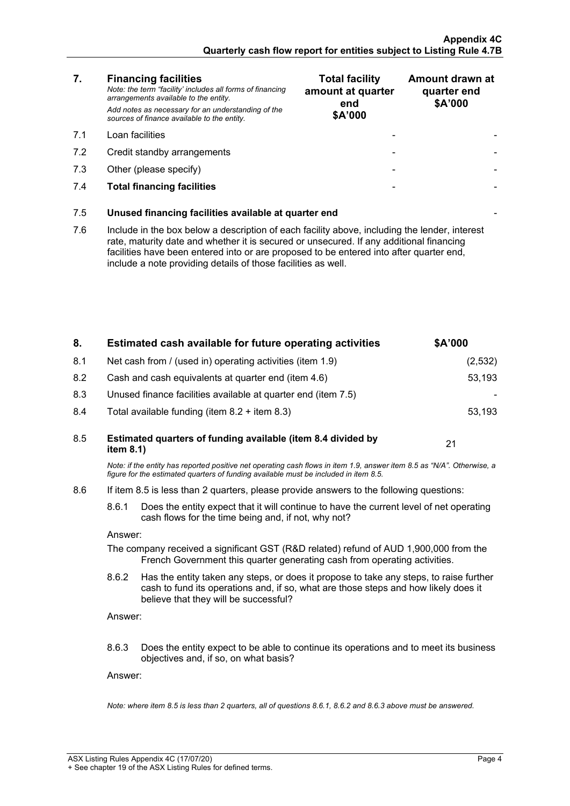| 7.  | <b>Financing facilities</b><br>Note: the term "facility' includes all forms of financing<br>arrangements available to the entity.<br>Add notes as necessary for an understanding of the<br>sources of finance available to the entity.                                                                                                               | <b>Total facility</b><br>amount at quarter<br>end<br>\$A'000 | Amount drawn at<br>quarter end<br>\$A'000 |
|-----|------------------------------------------------------------------------------------------------------------------------------------------------------------------------------------------------------------------------------------------------------------------------------------------------------------------------------------------------------|--------------------------------------------------------------|-------------------------------------------|
| 7.1 | Loan facilities                                                                                                                                                                                                                                                                                                                                      |                                                              |                                           |
| 7.2 | Credit standby arrangements                                                                                                                                                                                                                                                                                                                          |                                                              |                                           |
| 7.3 | Other (please specify)                                                                                                                                                                                                                                                                                                                               |                                                              |                                           |
| 7.4 | <b>Total financing facilities</b>                                                                                                                                                                                                                                                                                                                    |                                                              |                                           |
| 7.5 | Unused financing facilities available at quarter end                                                                                                                                                                                                                                                                                                 |                                                              |                                           |
| 7.6 | Include in the box below a description of each facility above, including the lender, interest<br>rate, maturity date and whether it is secured or unsecured. If any additional financing<br>facilities have been entered into or are proposed to be entered into after quarter end,<br>include a note providing details of those facilities as well. |                                                              |                                           |
|     |                                                                                                                                                                                                                                                                                                                                                      |                                                              |                                           |

| 8.                                                                                                                                                                 | Estimated cash available for future operating activities                                                                                                                                                                        | \$A'000 |  |
|--------------------------------------------------------------------------------------------------------------------------------------------------------------------|---------------------------------------------------------------------------------------------------------------------------------------------------------------------------------------------------------------------------------|---------|--|
| 8.1                                                                                                                                                                | Net cash from / (used in) operating activities (item 1.9)                                                                                                                                                                       | (2,532) |  |
| 8.2                                                                                                                                                                | Cash and cash equivalents at quarter end (item 4.6)                                                                                                                                                                             | 53,193  |  |
| 8.3                                                                                                                                                                | Unused finance facilities available at quarter end (item 7.5)                                                                                                                                                                   |         |  |
| 8.4                                                                                                                                                                | Total available funding (item $8.2 +$ item $8.3$ )                                                                                                                                                                              | 53,193  |  |
| 8.5                                                                                                                                                                | Estimated quarters of funding available (item 8.4 divided by<br>item 8.1)                                                                                                                                                       | 21      |  |
|                                                                                                                                                                    | Note: if the entity has reported positive net operating cash flows in item 1.9, answer item 8.5 as "N/A". Otherwise, a<br>figure for the estimated quarters of funding available must be included in item 8.5.                  |         |  |
| 8.6                                                                                                                                                                | If item 8.5 is less than 2 quarters, please provide answers to the following questions:                                                                                                                                         |         |  |
|                                                                                                                                                                    | 8.6.1<br>Does the entity expect that it will continue to have the current level of net operating<br>cash flows for the time being and, if not, why not?                                                                         |         |  |
|                                                                                                                                                                    | Answer:                                                                                                                                                                                                                         |         |  |
| The company received a significant GST (R&D related) refund of AUD 1,900,000 from the<br>French Government this quarter generating cash from operating activities. |                                                                                                                                                                                                                                 |         |  |
|                                                                                                                                                                    | 8.6.2<br>Has the entity taken any steps, or does it propose to take any steps, to raise further<br>cash to fund its operations and, if so, what are those steps and how likely does it<br>believe that they will be successful? |         |  |
|                                                                                                                                                                    | Answer:                                                                                                                                                                                                                         |         |  |
|                                                                                                                                                                    | 8.6.3<br>Does the entity expect to be able to continue its operations and to meet its business<br>objectives and, if so, on what basis?                                                                                         |         |  |
|                                                                                                                                                                    | Answer:                                                                                                                                                                                                                         |         |  |
|                                                                                                                                                                    | Note: where item 8.5 is less than 2 quarters, all of questions 8.6.1, 8.6.2 and 8.6.3 above must be answered.                                                                                                                   |         |  |
|                                                                                                                                                                    |                                                                                                                                                                                                                                 |         |  |